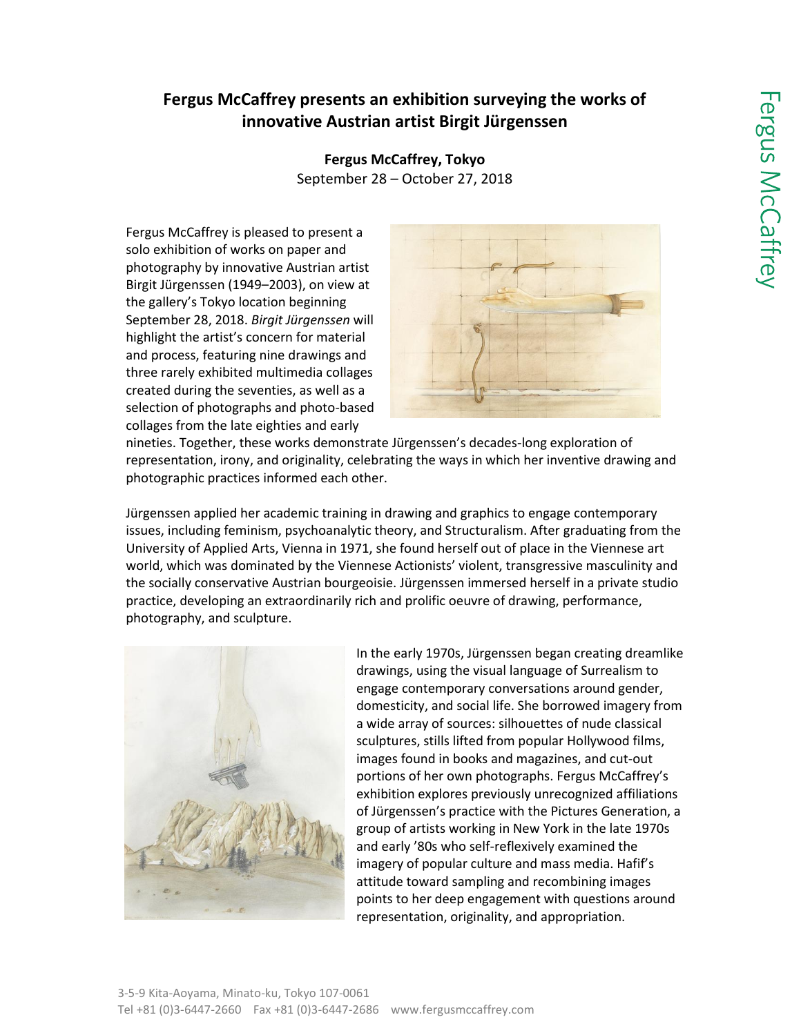# **Fergus McCaffrey presents an exhibition surveying the works of innovative Austrian artist Birgit Jürgenssen**

**Fergus McCaffrey, Tokyo** September 28 – October 27, 2018

Fergus McCaffrey is pleased to present a solo exhibition of works on paper and photography by innovative Austrian artist Birgit Jürgenssen (1949–2003), on view at the gallery's Tokyo location beginning September 28, 2018. *Birgit Jürgenssen* will highlight the artist's concern for material and process, featuring nine drawings and three rarely exhibited multimedia collages created during the seventies, as well as a selection of photographs and photo-based collages from the late eighties and early



nineties. Together, these works demonstrate Jürgenssen's decades-long exploration of representation, irony, and originality, celebrating the ways in which her inventive drawing and photographic practices informed each other.

Jürgenssen applied her academic training in drawing and graphics to engage contemporary issues, including feminism, psychoanalytic theory, and Structuralism. After graduating from the University of Applied Arts, Vienna in 1971, she found herself out of place in the Viennese art world, which was dominated by the Viennese Actionists' violent, transgressive masculinity and the socially conservative Austrian bourgeoisie. Jürgenssen immersed herself in a private studio practice, developing an extraordinarily rich and prolific oeuvre of drawing, performance, photography, and sculpture.



In the early 1970s, Jürgenssen began creating dreamlike drawings, using the visual language of Surrealism to engage contemporary conversations around gender, domesticity, and social life. She borrowed imagery from a wide array of sources: silhouettes of nude classical sculptures, stills lifted from popular Hollywood films, images found in books and magazines, and cut-out portions of her own photographs. Fergus McCaffrey's exhibition explores previously unrecognized affiliations of Jürgenssen's practice with the Pictures Generation, a group of artists working in New York in the late 1970s and early '80s who self-reflexively examined the imagery of popular culture and mass media. Hafif's attitude toward sampling and recombining images points to her deep engagement with questions around representation, originality, and appropriation.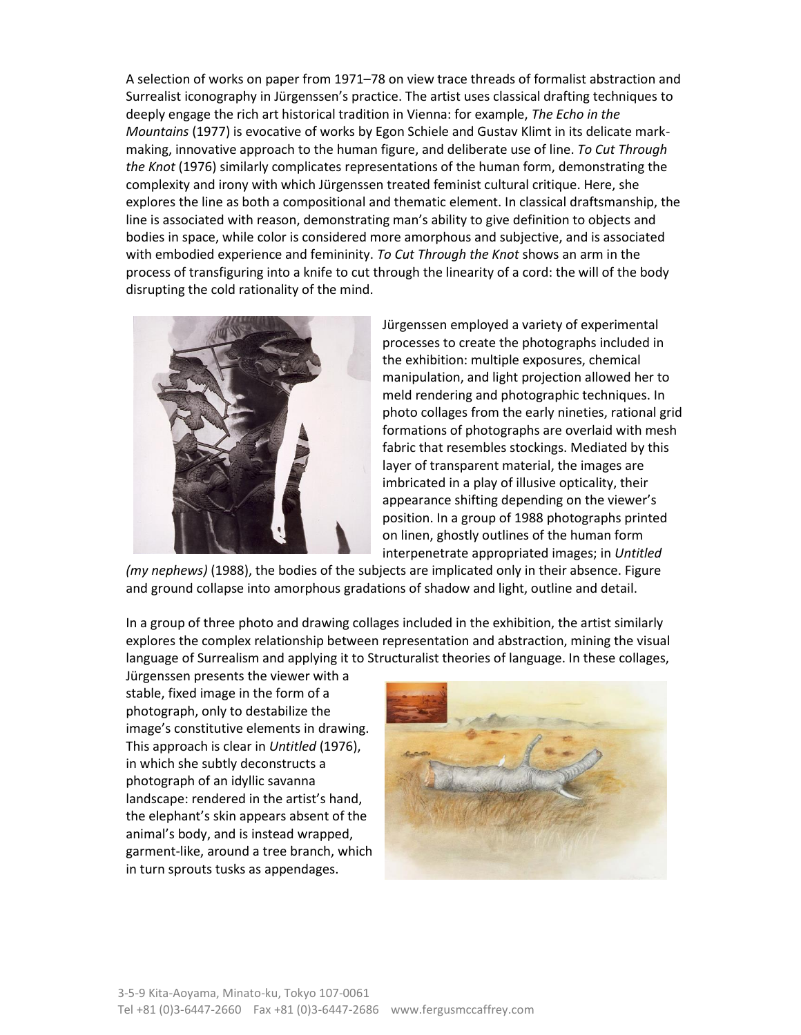A selection of works on paper from 1971–78 on view trace threads of formalist abstraction and Surrealist iconography in Jürgenssen's practice. The artist uses classical drafting techniques to deeply engage the rich art historical tradition in Vienna: for example, *The Echo in the Mountains* (1977) is evocative of works by Egon Schiele and Gustav Klimt in its delicate markmaking, innovative approach to the human figure, and deliberate use of line. *To Cut Through the Knot* (1976) similarly complicates representations of the human form, demonstrating the complexity and irony with which Jürgenssen treated feminist cultural critique. Here, she explores the line as both a compositional and thematic element. In classical draftsmanship, the line is associated with reason, demonstrating man's ability to give definition to objects and bodies in space, while color is considered more amorphous and subjective, and is associated with embodied experience and femininity. *To Cut Through the Knot* shows an arm in the process of transfiguring into a knife to cut through the linearity of a cord: the will of the body disrupting the cold rationality of the mind.



Jürgenssen employed a variety of experimental processes to create the photographs included in the exhibition: multiple exposures, chemical manipulation, and light projection allowed her to meld rendering and photographic techniques. In photo collages from the early nineties, rational grid formations of photographs are overlaid with mesh fabric that resembles stockings. Mediated by this layer of transparent material, the images are imbricated in a play of illusive opticality, their appearance shifting depending on the viewer's position. In a group of 1988 photographs printed on linen, ghostly outlines of the human form interpenetrate appropriated images; in *Untitled* 

*(my nephews)* (1988), the bodies of the subjects are implicated only in their absence. Figure and ground collapse into amorphous gradations of shadow and light, outline and detail.

In a group of three photo and drawing collages included in the exhibition, the artist similarly explores the complex relationship between representation and abstraction, mining the visual language of Surrealism and applying it to Structuralist theories of language. In these collages,

Jürgenssen presents the viewer with a stable, fixed image in the form of a photograph, only to destabilize the image's constitutive elements in drawing. This approach is clear in *Untitled* (1976), in which she subtly deconstructs a photograph of an idyllic savanna landscape: rendered in the artist's hand, the elephant's skin appears absent of the animal's body, and is instead wrapped, garment-like, around a tree branch, which in turn sprouts tusks as appendages.

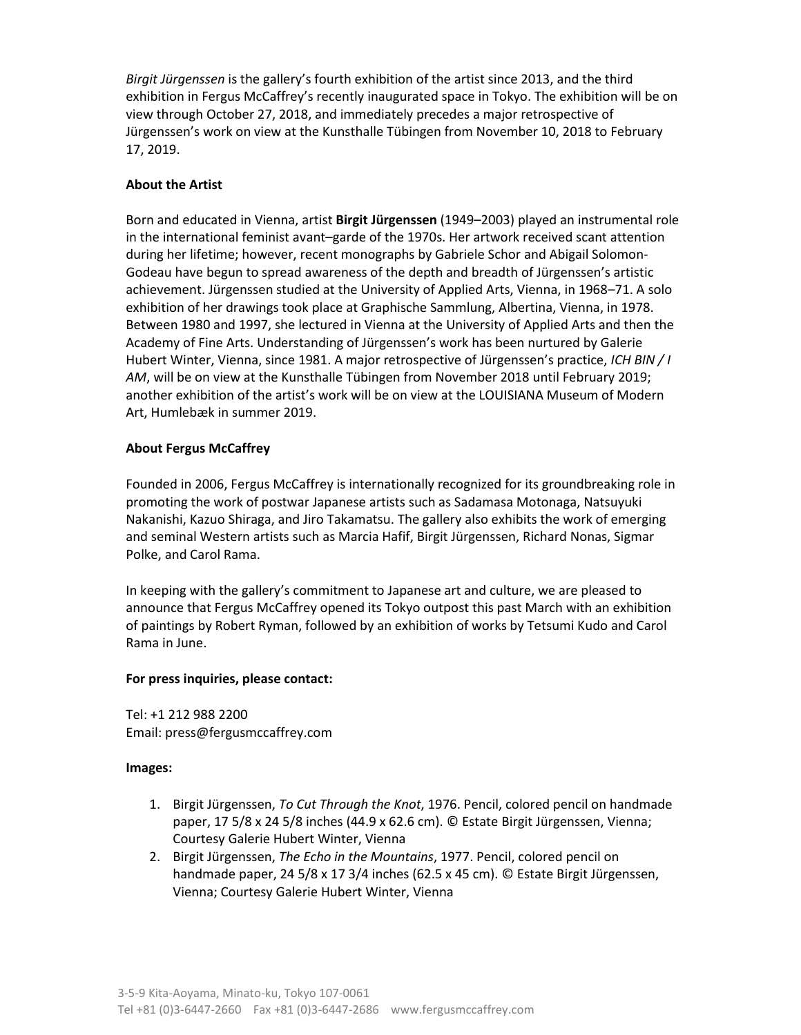*Birgit Jürgenssen* is the gallery's fourth exhibition of the artist since 2013, and the third exhibition in Fergus McCaffrey's recently inaugurated space in Tokyo. The exhibition will be on view through October 27, 2018, and immediately precedes a major retrospective of Jürgenssen's work on view at the Kunsthalle Tübingen from November 10, 2018 to February 17, 2019.

## **About the Artist**

Born and educated in Vienna, artist **Birgit Jürgenssen** (1949–2003) played an instrumental role in the international feminist avant–garde of the 1970s. Her artwork received scant attention during her lifetime; however, recent monographs by Gabriele Schor and Abigail Solomon-Godeau have begun to spread awareness of the depth and breadth of Jürgenssen's artistic achievement. Jürgenssen studied at the University of Applied Arts, Vienna, in 1968–71. A solo exhibition of her drawings took place at Graphische Sammlung, Albertina, Vienna, in 1978. Between 1980 and 1997, she lectured in Vienna at the University of Applied Arts and then the Academy of Fine Arts. Understanding of Jürgenssen's work has been nurtured by Galerie Hubert Winter, Vienna, since 1981. A major retrospective of Jürgenssen's practice, *ICH BIN / I AM*, will be on view at the Kunsthalle Tübingen from November 2018 until February 2019; another exhibition of the artist's work will be on view at the LOUISIANA Museum of Modern Art, Humlebæk in summer 2019.

## **About Fergus McCaffrey**

Founded in 2006, Fergus McCaffrey is internationally recognized for its groundbreaking role in promoting the work of postwar Japanese artists such as Sadamasa Motonaga, Natsuyuki Nakanishi, Kazuo Shiraga, and Jiro Takamatsu. The gallery also exhibits the work of emerging and seminal Western artists such as Marcia Hafif, Birgit Jürgenssen, Richard Nonas, Sigmar Polke, and Carol Rama.

In keeping with the gallery's commitment to Japanese art and culture, we are pleased to announce that Fergus McCaffrey opened its Tokyo outpost this past March with an exhibition of paintings by Robert Ryman, followed by an exhibition of works by Tetsumi Kudo and Carol Rama in June.

## **For press inquiries, please contact:**

Tel: +1 212 988 2200 Email: [press@fergusmccaffrey.com](mailto:press@fergusmccaffrey.com)

#### **Images:**

- 1. Birgit Jürgenssen, *To Cut Through the Knot*, 1976. Pencil, colored pencil on handmade paper, 17 5/8 x 24 5/8 inches (44.9 x 62.6 cm). © Estate Birgit Jürgenssen, Vienna; Courtesy Galerie Hubert Winter, Vienna
- 2. Birgit Jürgenssen, *The Echo in the Mountains*, 1977. Pencil, colored pencil on handmade paper, 24 5/8 x 17 3/4 inches (62.5 x 45 cm). © Estate Birgit Jürgenssen, Vienna; Courtesy Galerie Hubert Winter, Vienna